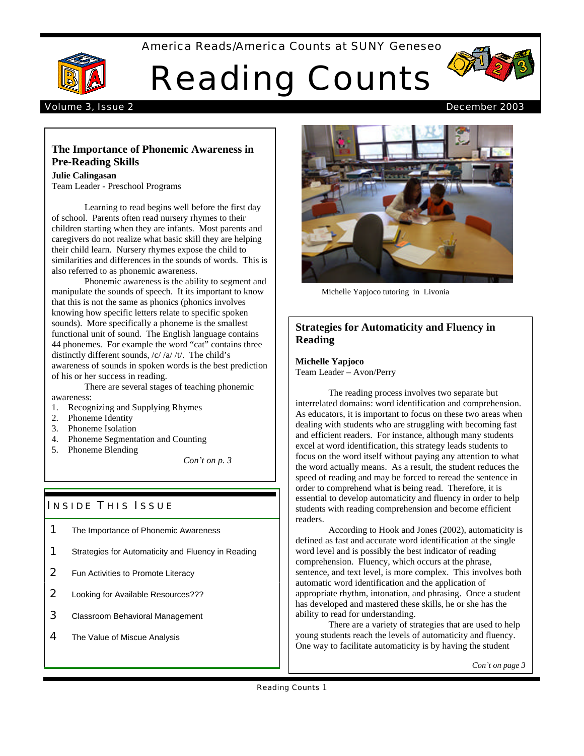America Reads/America Counts at SUNY Geneseo



# Reading Counts



#### Volume 3, Issue 2 December 2003

# **The Importance of Phonemic Awareness in Pre-Reading Skills**

#### **Julie Calingasan**

Team Leader - Preschool Programs

Learning to read begins well before the first day of school. Parents often read nursery rhymes to their children starting when they are infants. Most parents and caregivers do not realize what basic skill they are helping their child learn. Nursery rhymes expose the child to similarities and differences in the sounds of words. This is also referred to as phonemic awareness.

Phonemic awareness is the ability to segment and manipulate the sounds of speech. It its important to know that this is not the same as phonics (phonics involves knowing how specific letters relate to specific spoken sounds). More specifically a phoneme is the smallest functional unit of sound. The English language contains 44 phonemes. For example the word "cat" contains three distinctly different sounds, /c/ /a/ /t/. The child's awareness of sounds in spoken words is the best prediction of his or her success in reading.

There are several stages of teaching phonemic awareness:

- 1. Recognizing and Supplying Rhymes
- 2. Phoneme Identity
- 3. Phoneme Isolation
- 4. Phoneme Segmentation and Counting
- 5. Phoneme Blending

*Con't on p. 3*

# **INSIDE THIS ISSUE**

- **1** The Importance of Phonemic Awareness
- **1** Strategies for Automaticity and Fluency in Reading
- **2** Fun Activities to Promote Literacy
- 2 Looking for Available Resources???
- **3** Classroom Behavioral Management
- 4 The Value of Miscue Analysis



Michelle Yapjoco tutoring in Livonia

# **Strategies for Automaticity and Fluency in Reading**

**Michelle Yapjoco** Team Leader – Avon/Perry

The reading process involves two separate but interrelated domains: word identification and comprehension. As educators, it is important to focus on these two areas when dealing with students who are struggling with becoming fast and efficient readers. For instance, although many students excel at word identification, this strategy leads students to focus on the word itself without paying any attention to what the word actually means. As a result, the student reduces the speed of reading and may be forced to reread the sentence in order to comprehend what is being read. Therefore, it is essential to develop automaticity and fluency in order to help students with reading comprehension and become efficient readers.

According to Hook and Jones (2002), automaticity is defined as fast and accurate word identification at the single word level and is possibly the best indicator of reading comprehension. Fluency, which occurs at the phrase, sentence, and text level, is more complex. This involves both automatic word identification and the application of appropriate rhythm, intonation, and phrasing. Once a student has developed and mastered these skills, he or she has the ability to read for understanding.

There are a variety of strategies that are used to help young students reach the levels of automaticity and fluency. One way to facilitate automaticity is by having the student

*Con't on page 3*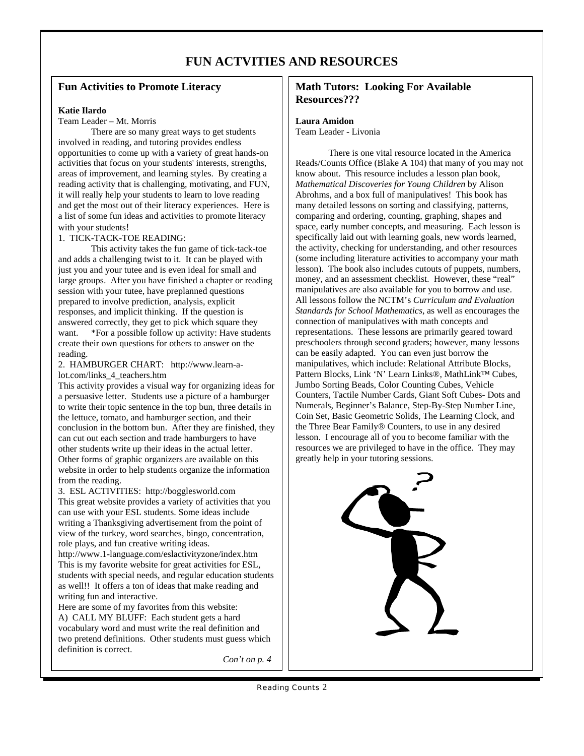# **FUN ACTVITIES AND RESOURCES**

# **Fun Activities to Promote Literacy**

#### **Katie Ilardo**

#### Team Leader – Mt. Morris

There are so many great ways to get students involved in reading, and tutoring provides endless opportunities to come up with a variety of great hands-on activities that focus on your students' interests, strengths, areas of improvement, and learning styles. By creating a reading activity that is challenging, motivating, and FUN, it will really help your students to learn to love reading and get the most out of their literacy experiences. Here is a list of some fun ideas and activities to promote literacy with your students!

#### 1. TICK-TACK-TOE READING:

This activity takes the fun game of tick-tack-toe and adds a challenging twist to it. It can be played with just you and your tutee and is even ideal for small and large groups. After you have finished a chapter or reading session with your tutee, have preplanned questions prepared to involve prediction, analysis, explicit responses, and implicit thinking. If the question is answered correctly, they get to pick which square they want. \*For a possible follow up activity: Have students create their own questions for others to answer on the reading.

#### 2. HAMBURGER CHART: http://www.learn-alot.com/links\_4\_teachers.htm

This activity provides a visual way for organizing ideas for a persuasive letter. Students use a picture of a hamburger to write their topic sentence in the top bun, three details in the lettuce, tomato, and hamburger section, and their conclusion in the bottom bun. After they are finished, they can cut out each section and trade hamburgers to have other students write up their ideas in the actual letter. Other forms of graphic organizers are available on this website in order to help students organize the information from the reading.

3. ESL ACTIVITIES: http://bogglesworld.com This great website provides a variety of activities that you can use with your ESL students. Some ideas include writing a Thanksgiving advertisement from the point of view of the turkey, word searches, bingo, concentration, role plays, and fun creative writing ideas.

http://www.1-language.com/eslactivityzone/index.htm This is my favorite website for great activities for ESL, students with special needs, and regular education students as well!! It offers a ton of ideas that make reading and writing fun and interactive.

Here are some of my favorites from this website: A) CALL MY BLUFF: Each student gets a hard vocabulary word and must write the real definition and two pretend definitions. Other students must guess which definition is correct.

*Con't on p. 4*

### **Math Tutors: Looking For Available Resources???**

#### **Laura Amidon**

Team Leader - Livonia

There is one vital resource located in the America Reads/Counts Office (Blake A 104) that many of you may not know about. This resource includes a lesson plan book, *Mathematical Discoveries for Young Children* by Alison Abrohms, and a box full of manipulatives! This book has many detailed lessons on sorting and classifying, patterns, comparing and ordering, counting, graphing, shapes and space, early number concepts, and measuring. Each lesson is specifically laid out with learning goals, new words learned, the activity, checking for understanding, and other resources (some including literature activities to accompany your math lesson). The book also includes cutouts of puppets, numbers, money, and an assessment checklist. However, these "real" manipulatives are also available for you to borrow and use. All lessons follow the NCTM's *Curriculum and Evaluation Standards for School Mathematics*, as well as encourages the connection of manipulatives with math concepts and representations. These lessons are primarily geared toward preschoolers through second graders; however, many lessons can be easily adapted. You can even just borrow the manipulatives, which include: Relational Attribute Blocks, Pattern Blocks, Link 'N' Learn Links®, MathLink™ Cubes, Jumbo Sorting Beads, Color Counting Cubes, Vehicle Counters, Tactile Number Cards, Giant Soft Cubes- Dots and Numerals, Beginner's Balance, Step-By-Step Number Line, Coin Set, Basic Geometric Solids, The Learning Clock, and the Three Bear Family® Counters, to use in any desired lesson. I encourage all of you to become familiar with the resources we are privileged to have in the office. They may greatly help in your tutoring sessions.



Reading Counts 2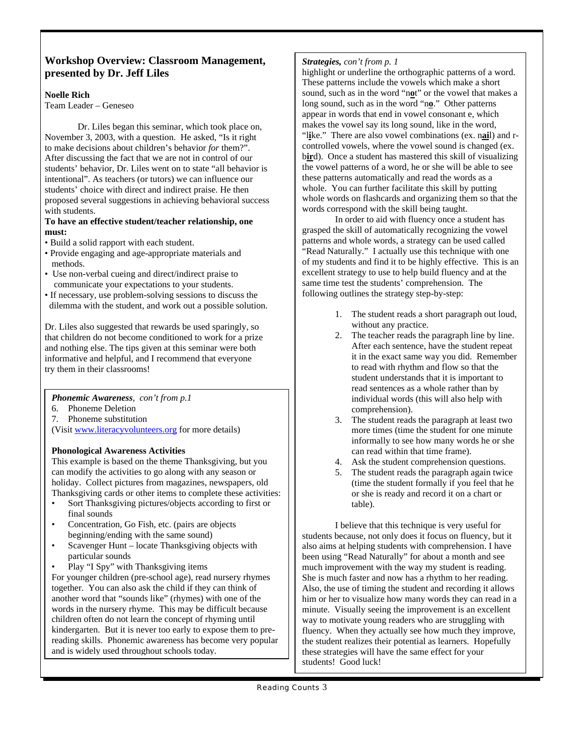# **Workshop Overview: Classroom Management, presented by Dr. Jeff Liles**

#### **Noelle Rich**

Team Leader – Geneseo

Dr. Liles began this seminar, which took place on, November 3, 2003, with a question. He asked, "Is it right to make decisions about children's behavior *for* them?". After discussing the fact that we are not in control of our students' behavior, Dr. Liles went on to state "all behavior is intentional". As teachers (or tutors) we can influence our students' choice with direct and indirect praise. He then proposed several suggestions in achieving behavioral success with students.

#### **To have an effective student/teacher relationship, one must:**

- Build a solid rapport with each student.
- Provide engaging and age-appropriate materials and methods.
- Use non-verbal cueing and direct/indirect praise to communicate your expectations to your students.
- If necessary, use problem-solving sessions to discuss the dilemma with the student, and work out a possible solution.

Dr. Liles also suggested that rewards be used sparingly, so that children do not become conditioned to work for a prize and nothing else. The tips given at this seminar were both informative and helpful, and I recommend that everyone try them in their classrooms!

*Phonemic Awareness, con't from p.1*

- 6. Phoneme Deletion
- 7. Phoneme substitution

(Visit www.literacyvolunteers.org for more details)

#### **Phonological Awareness Activities**

This example is based on the theme Thanksgiving, but you can modify the activities to go along with any season or holiday. Collect pictures from magazines, newspapers, old Thanksgiving cards or other items to complete these activities:

- Sort Thanksgiving pictures/objects according to first or final sounds
- Concentration, Go Fish, etc. (pairs are objects beginning/ending with the same sound)
- Scavenger Hunt locate Thanksgiving objects with particular sounds
- Play "I Spy" with Thanksgiving items

For younger children (pre-school age), read nursery rhymes together. You can also ask the child if they can think of another word that "sounds like" (rhymes) with one of the words in the nursery rhyme. This may be difficult because children often do not learn the concept of rhyming until kindergarten. But it is never too early to expose them to prereading skills. Phonemic awareness has become very popular and is widely used throughout schools today.

#### *Strategies, con't from p. 1*

highlight or underline the orthographic patterns of a word. These patterns include the vowels which make a short sound, such as in the word "n**o**t" or the vowel that makes a long sound, such as in the word "n**o**." Other patterns appear in words that end in vowel consonant e, which makes the vowel say its long sound, like in the word, "l**i**ke." There are also vowel combinations (ex. n**ai**l) and rcontrolled vowels, where the vowel sound is changed (ex. b**ir**d). Once a student has mastered this skill of visualizing the vowel patterns of a word, he or she will be able to see these patterns automatically and read the words as a whole. You can further facilitate this skill by putting whole words on flashcards and organizing them so that the words correspond with the skill being taught.

In order to aid with fluency once a student has grasped the skill of automatically recognizing the vowel patterns and whole words, a strategy can be used called "Read Naturally." I actually use this technique with one of my students and find it to be highly effective. This is an excellent strategy to use to help build fluency and at the same time test the students' comprehension. The following outlines the strategy step-by-step:

- 1. The student reads a short paragraph out loud, without any practice.
- 2. The teacher reads the paragraph line by line. After each sentence, have the student repeat it in the exact same way you did. Remember to read with rhythm and flow so that the student understands that it is important to read sentences as a whole rather than by individual words (this will also help with comprehension).
- 3. The student reads the paragraph at least two more times (time the student for one minute informally to see how many words he or she can read within that time frame).
- 4. Ask the student comprehension questions.
- 5. The student reads the paragraph again twice (time the student formally if you feel that he or she is ready and record it on a chart or table).

I believe that this technique is very useful for students because, not only does it focus on fluency, but it also aims at helping students with comprehension. I have been using "Read Naturally" for about a month and see much improvement with the way my student is reading. She is much faster and now has a rhythm to her reading. Also, the use of timing the student and recording it allows him or her to visualize how many words they can read in a minute. Visually seeing the improvement is an excellent way to motivate young readers who are struggling with fluency. When they actually see how much they improve, the student realizes their potential as learners. Hopefully these strategies will have the same effect for your students! Good luck!